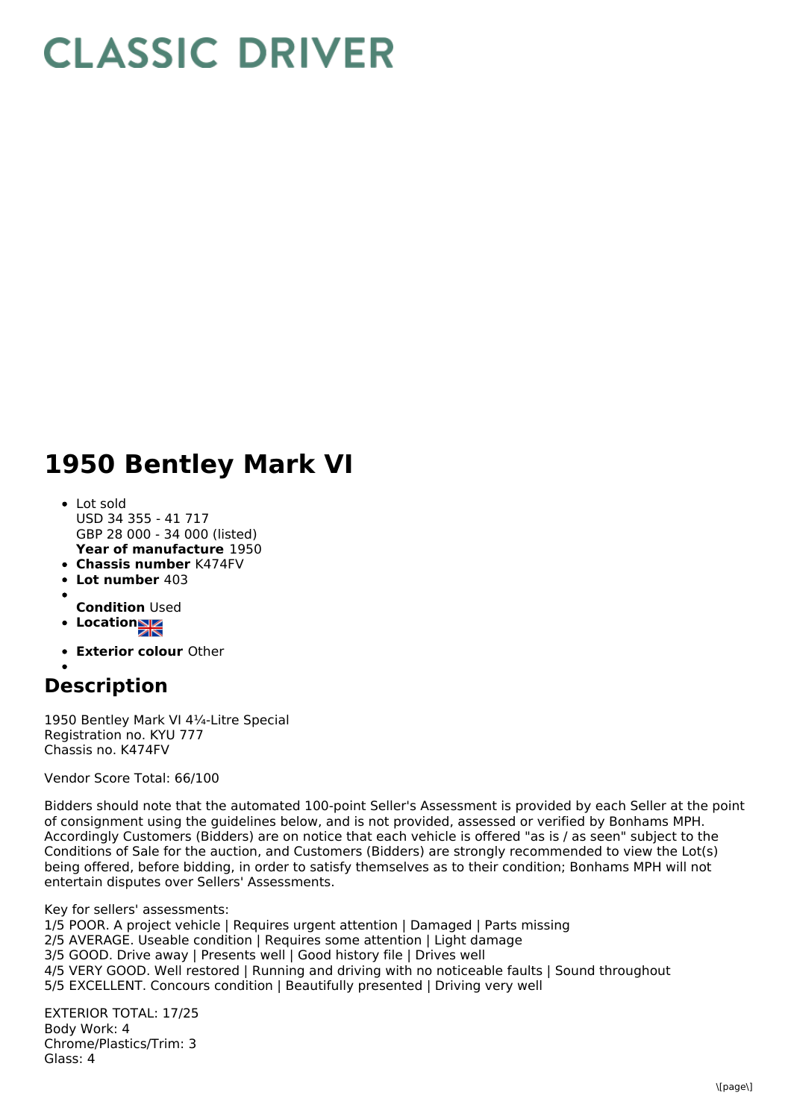## **CLASSIC DRIVER**

## **1950 Bentley Mark VI**

- **Year of manufacture** 1950 Lot sold USD 34 355 - 41 717 GBP 28 000 - 34 000 (listed)
- **Chassis number** K474FV
- **Lot number** 403
- **Condition** Used
- **Location**
- 
- **Exterior colour** Other

## **Description**

1950 Bentley Mark VI 4¼-Litre Special Registration no. KYU 777 Chassis no. K474FV

Vendor Score Total: 66/100

Bidders should note that the automated 100-point Seller's Assessment is provided by each Seller at the point of consignment using the guidelines below, and is not provided, assessed or verified by Bonhams MPH. Accordingly Customers (Bidders) are on notice that each vehicle is offered "as is / as seen" subject to the Conditions of Sale for the auction, and Customers (Bidders) are strongly recommended to view the Lot(s) being offered, before bidding, in order to satisfy themselves as to their condition; Bonhams MPH will not entertain disputes over Sellers' Assessments.

Key for sellers' assessments: 1/5 POOR. A project vehicle | Requires urgent attention | Damaged | Parts missing 2/5 AVERAGE. Useable condition | Requires some attention | Light damage 3/5 GOOD. Drive away | Presents well | Good history file | Drives well 4/5 VERY GOOD. Well restored | Running and driving with no noticeable faults | Sound throughout 5/5 EXCELLENT. Concours condition | Beautifully presented | Driving very well

EXTERIOR TOTAL: 17/25 Body Work: 4 Chrome/Plastics/Trim: 3 Glass: 4